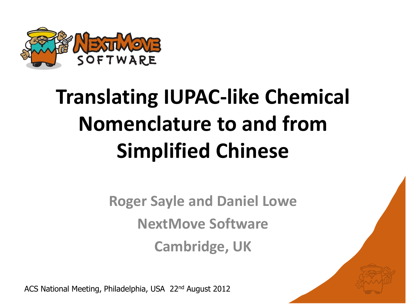

# **Translating IUPAC-like Chemical Nomenclature to and from Simplified Chinese**

**Roger Sayle and Daniel Lowe NextMove Software Cambridge, UK**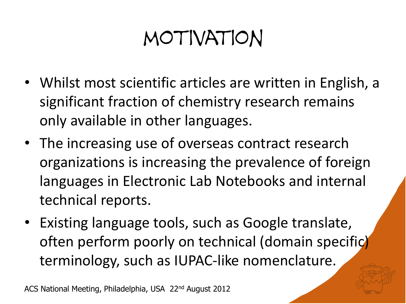### motivation

- Whilst most scientific articles are written in English, a significant fraction of chemistry research remains only available in other languages.
- The increasing use of overseas contract research organizations is increasing the prevalence of foreign languages in Electronic Lab Notebooks and internal technical reports.
- Existing language tools, such as Google translate, often perform poorly on technical (domain specific) terminology, such as IUPAC-like nomenclature.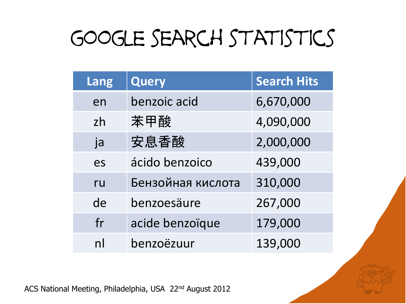## google search statistics

| Lang | <b>Query</b>      | <b>Search Hits</b> |
|------|-------------------|--------------------|
| en   | benzoic acid      | 6,670,000          |
| zh   | 苯甲酸               | 4,090,000          |
| ja   | 安息香酸              | 2,000,000          |
| es   | ácido benzoico    | 439,000            |
| ru   | Бензойная кислота | 310,000            |
| de   | benzoesäure       | 267,000            |
| fr   | acide benzoïque   | 179,000            |
| n    | benzoëzuur        | 139,000            |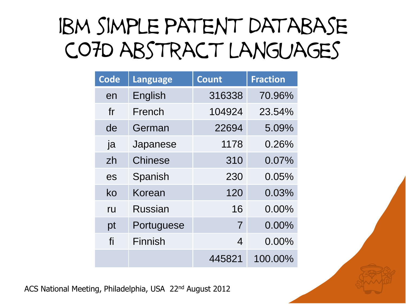### ibm simple patent database c07D abstract languages

| <b>Code</b> | Language       | <b>Count</b>     | <b>Fraction</b> |
|-------------|----------------|------------------|-----------------|
| en          | English        | 316338           | 70.96%          |
| fr          | French         | 104924           | 23.54%          |
| de          | German         | 22694            | 5.09%           |
| ja          | Japanese       | 1178             | 0.26%           |
| zh          | <b>Chinese</b> | 310              | 0.07%           |
| es          | Spanish        | 230              | 0.05%           |
| ko          | Korean         | 120              | 0.03%           |
| ru          | <b>Russian</b> | 16               | $0.00\%$        |
| pt          | Portuguese     | $\overline{7}$   | 0.00%           |
| fi          | Finnish        | $\boldsymbol{4}$ | $0.00\%$        |
|             |                | 445821           | 100.00%         |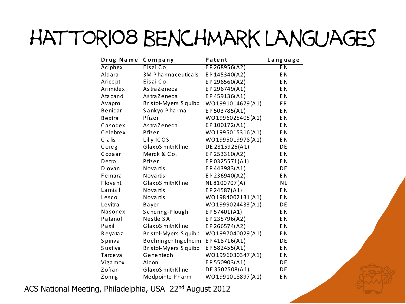### hattori08 benchmark languages

|                | DEI YUNIYININ LOI Y    |                  |                |
|----------------|------------------------|------------------|----------------|
| Drug Name      | Company                | Patent           | Language       |
| Aciphex        | Eisai Co               | $E$ P 268956(A2) | E <sub>N</sub> |
| Aldara         | 3M P ha rma ce uticals | EP145340(A2)     | E <sub>N</sub> |
| Aricept        | Eisai Co               | EP296560(A2)     | E <sub>N</sub> |
| Arimidex       | As tra Zeneca          | EP296749(A1)     | E <sub>N</sub> |
| Atacand        | As tra Zeneca          | EP459136(A1)     | E <sub>N</sub> |
| Avapro         | Bristol-Myers Squibb   | WO1991014679(A1) | <b>FR</b>      |
| Benicar        | Sankyo Pharma          | EP503785(A1)     | E <sub>N</sub> |
| Bextra         | Pfizer                 | WO1996025405(A1) | E <sub>N</sub> |
| Casodex        | As tra Zeneca          | EP100172(A1)     | E <sub>N</sub> |
| Celebrex       | Pfizer                 | WO1995015316(A1) | E <sub>N</sub> |
| C ia lis       | Lilly ICOS             | WO1995019978(A1) | E <sub>N</sub> |
| Coreg          | GlaxoS mith Kline      | DE 2815926(A1)   | DE             |
| Cozaar         | Merck & Co.            | EP253310(A2)     | E <sub>N</sub> |
| Detrol         | Pfizer                 | EP0325571(A1)    | E <sub>N</sub> |
| Diovan         | <b>Novartis</b>        | EP443983(A1)     | DE             |
| Femara         | <b>Novartis</b>        | EP236940(A2)     | E <sub>N</sub> |
| <b>Flovent</b> | GlaxoS mith Kline      | NL8100707(A)     | <b>NL</b>      |
| La misil       | Novartis               | EP24587(A1)      | E <sub>N</sub> |
| Lescol         | <b>Novartis</b>        | WO1984002131(A1) | E <sub>N</sub> |
| Levitra        | Bayer                  | WO1999024433(A1) | DE             |
| Nasonex        | Schering-Plough        | EP57401(A1)      | E <sub>N</sub> |
| Patanol        | Nestle SA              | EP235796(A2)     | E <sub>N</sub> |
| Paxil          | GlaxoS mith Kline      | EP266574(A2)     | E <sub>N</sub> |
| Reyataz        | Bristol-Myers Squibb   | WO1997040029(A1) | E <sub>N</sub> |
| S piriva       | Boehringer Ingelheim   | EP418716(A1)     | DE             |
| Sustiva        | Bristol-Myers Squibb   | EP582455(A1)     | E <sub>N</sub> |
| Tarceva        | Genentech              | WO1996030347(A1) | E <sub>N</sub> |
| Viga mox       | Alcon                  | EP550903(A1)     | DE             |
| Z ofra n       | GlaxoS mith Kline      | DE 3502508(A1)   | DE             |
| Zomig          | Medpointe Pharm        | WO1991018897(A1) | E <sub>N</sub> |
|                |                        |                  |                |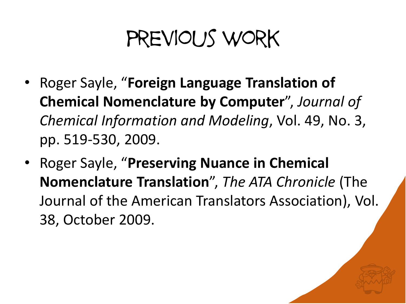### previous work

- Roger Sayle, "**Foreign Language Translation of Chemical Nomenclature by Computer**", *Journal of Chemical Information and Modeling*, Vol. 49, No. 3, pp. 519-530, 2009.
- Roger Sayle, "**Preserving Nuance in Chemical Nomenclature Translation**", *The ATA Chronicle* (The Journal of the American Translators Association), Vol. 38, October 2009.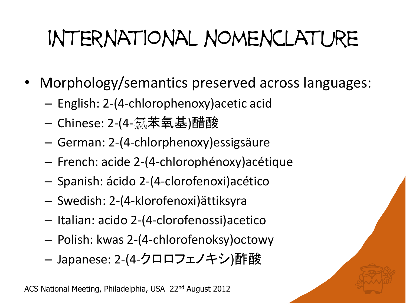# international nomenclature

- Morphology/semantics preserved across languages:
	- English: 2-(4-chlorophenoxy)acetic acid
	- Chinese: 2-(4-氯苯氧基)醋酸
	- German: 2-(4-chlorphenoxy)essigsäure
	- French: acide 2-(4-chlorophénoxy)acétique
	- Spanish: ácido 2-(4-clorofenoxi)acético
	- Swedish: 2-(4-klorofenoxi)ättiksyra
	- Italian: acido 2-(4-clorofenossi)acetico
	- Polish: kwas 2-(4-chlorofenoksy)octowy
	- Japanese: 2-(4-クロロフェノキシ)酢酸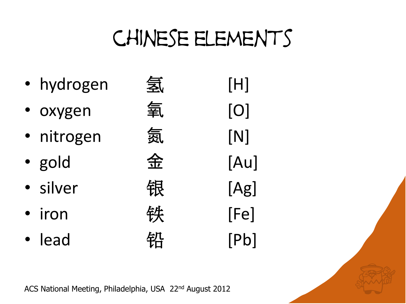### chinese elements

- 
- 
- 
- 
- 
- 
- 



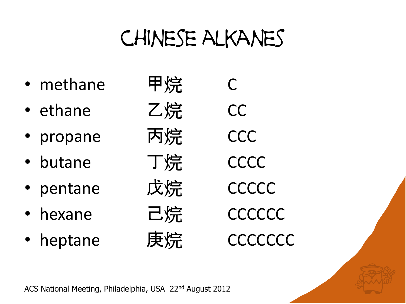### chinese alkanes

- methane 甲烷 C
- ethane Z 烷 CC
- propane 丙烷 CCC
- butane T烷 CCCC
- pentane 戊烷 CCCCC
- hexane 己烷 CCCCCCC
- heptane 庚烷 CCCCCCC
- 

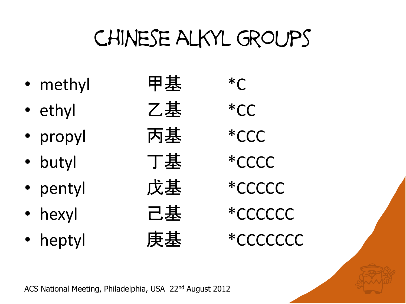## chinese alkyl groups

- methyl 甲基 \*C
- ethyl 乙基 \*CC
- propyl 丙基 \*CCC
- butyl 丁基 \*CCCC
- pentyl 戊基 \*CCCCC
- 
- 

• hexyl \*CCCCCC • heptyl 庚基 \*CCCCCCC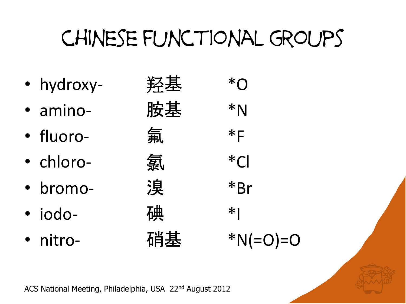## chinese functional groups

- 
- 
- 
- 
- 
- 
- 

| · hydroxy-       | 羟基 | $*\cap$ |
|------------------|----|---------|
| · amino-         | 胺基 | $*N$    |
| · fluoro-        | 氟  | $*F$    |
| · chloro-        | 氯  | $*$ Cl  |
| · bromo-         | 溴  | *Br     |
| · iodo-          | 碓  | $*1$    |
| $\bullet$ nitro- | 硝其 | $*$ NI  |

• nitro- 硝基 \*N(=O)=O

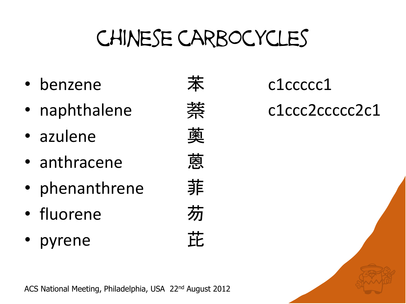## chinese carbocycles

- benzene **苯** c1ccccc1
- 
- azulene 薁
- anthracene
- phenanthrene 菲
- fluorene 芴
- pyrene 芘

• naphthalene c1ccc2ccccc2c1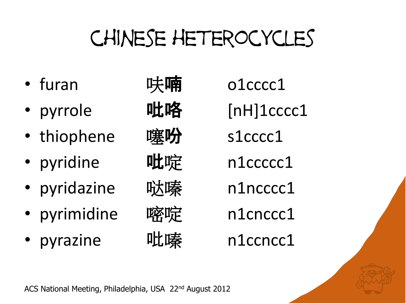# chinese heterocycles

- 
- pyrrole 吡咯 [nH]1cccc1
- thiophene 噻吩 s1cccc1
- pyridine 吡啶 n1ccccc1
- pyridazine 哒嗪 n1ncccc1
- pyrimidine 嘧啶 n1cnccc1
- pyrazine 吡嗪 n1ccncc1

• furan 呋喃 o1cccc1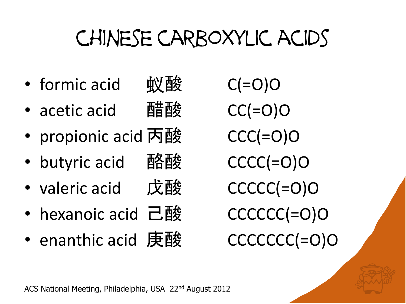## chinese carboxylic acids

- formic acid 蚁酸 C(=O)O
- acetic acid 醋酸 CC(=O)O
- propionic acid 丙酸 CCC(=O)O
- butyric acid 酪酸 CCCC(=O)O
- valeric acid 戊酸 CCCCC(=O)O
- hexanoic acid 己酸 CCCCCC(=O)O
- enanthic acid 庚酸 CCCCCCC(=O)O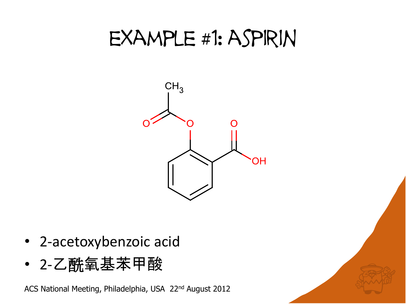#### example #1: aspirin



- 2-acetoxybenzoic acid
- 2-乙酰氧基苯甲酸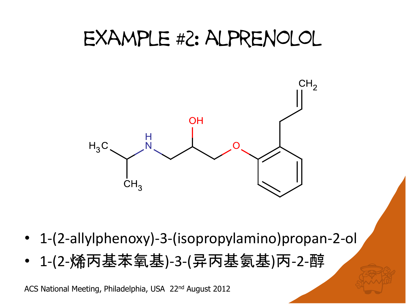#### example #2: alprenolol



- 1-(2-allylphenoxy)-3-(isopropylamino)propan-2-ol
- 1-(2-烯丙基苯氧基)-3-(异丙基氨基)丙-2-醇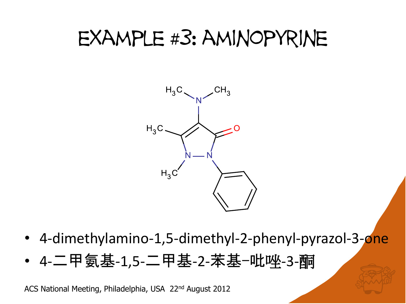#### example #3: aminopyrine



- 4-dimethylamino-1,5-dimethyl-2-phenyl-pyrazol-3-one
- 4-二甲氨基-1,5-二甲基-2-苯基-吡唑-3-酮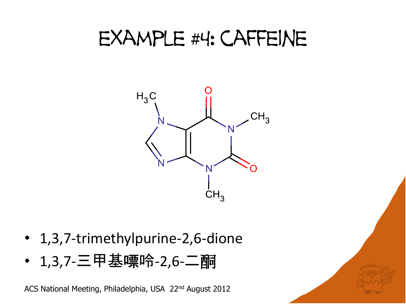#### example #4: caffeine



- 1,3,7-trimethylpurine-2,6-dione
- 1,3,7-三甲基嘌呤-2,6-二酮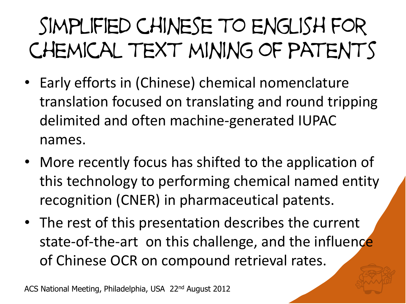# simplified chinese to english for chemical text mining of patents

- Early efforts in (Chinese) chemical nomenclature translation focused on translating and round tripping delimited and often machine-generated IUPAC names.
- More recently focus has shifted to the application of this technology to performing chemical named entity recognition (CNER) in pharmaceutical patents.
- The rest of this presentation describes the current state-of-the-art on this challenge, and the influence of Chinese OCR on compound retrieval rates.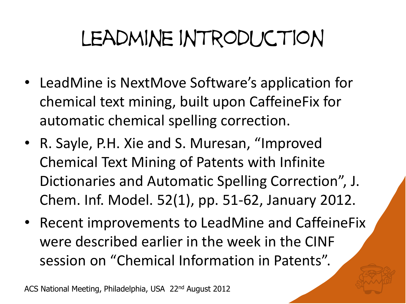# leadmine introduction

- LeadMine is NextMove Software's application for chemical text mining, built upon CaffeineFix for automatic chemical spelling correction.
- R. Sayle, P.H. Xie and S. Muresan, "Improved Chemical Text Mining of Patents with Infinite Dictionaries and Automatic Spelling Correction", J. Chem. Inf. Model. 52(1), pp. 51-62, January 2012.
- Recent improvements to LeadMine and CaffeineFix were described earlier in the week in the CINF session on "Chemical Information in Patents".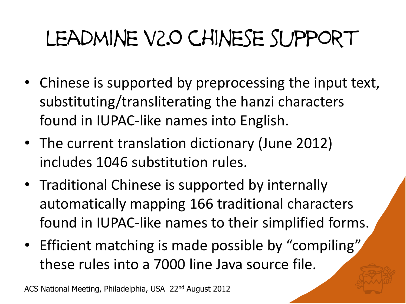# leadmine v2.0 chinese support

- Chinese is supported by preprocessing the input text, substituting/transliterating the hanzi characters found in IUPAC-like names into English.
- The current translation dictionary (June 2012) includes 1046 substitution rules.
- Traditional Chinese is supported by internally automatically mapping 166 traditional characters found in IUPAC-like names to their simplified forms.
- Efficient matching is made possible by "compiling" these rules into a 7000 line Java source file.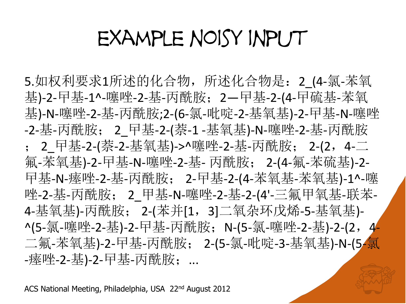#### example noisy input

5.如权利要求1所述的化合物, 所述化合物是: 2 (4-氯-苯氧 基)-2-曱基-1^-噻唑-2-基-丙酰胺;2-甲基-2-(4-曱硫基-苯氧 基)-N-噻唑-2-基-丙酰胺;2-(6-氯-吡啶-2-基氧基)-2-曱基-N-噻唑 -2-基-丙酰胺; 2 曱基-2-(萘-1 -基氧基)-N-噻唑-2-基-丙酰胺 ; 2 曱基-2-(萘-2-基氧基)->^噻唑-2-基-丙酰胺; 2-(2, 4-二 氟-苯氧基)-2-曱基-N-噻唑-2-基- 丙酰胺; 2-(4-氟-苯硫基)-2- 曱基-N-瘗唑-2-基-丙酰胺; 2-曱基-2-(4-苯氧基-苯氧基)-1^-噻 唑-2-基-丙酰胺; 2\_甲基-N-噻唑-2-基-2-(4'-三氟甲氧基-联苯-4-基氧基)-丙酰胺; 2-(苯并[1, 3]二氧杂环戊烯-5-基氧基)-^(5-氯-噻唑-2-基)-2-曱基-丙酰胺; N-(5-氯-噻唑-2-基)-2-(2, 4-二氟-苯氧基)-2-曱基-丙酰胺; 2-(5-氯-吡啶-3-基氧基)-N-(5-氯 -瘗唑-2-基)-2-曱基-丙酰胺;…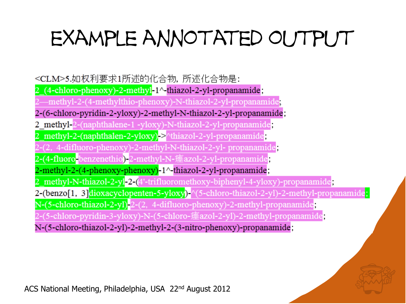## example annotated output

<CLM>5.如权利要求1所述的化合物,所述化合物是:  $(4$ -chloro-phenoxy)-2-methyl-1<sup> $\land$ -thiazol-2-yl-propanamide;</sup> -methyl-2-(4-methylthio-phenoxy)-N-thiazol-2-yl-propanamide<mark>;</mark> 2-(6-chloro-pyridin-2-yloxy)-2-methyl-N-thiazol-2-yl-propanamide; 2 methyl-2-(naphthalene-1 -yloxy)-N-thiazol-2-yl-propanamide; 2 methyl-2-(naphthalen-2-yloxy) > thiazol-2-yl-propanamide -(2, 4-difluoro-phenoxy)-2-methyl-N-thiazol-2-yl- propanamide, 2-methyl-2-(4-phenoxy-phenoxy)-1^-thiazol-2-yl-propanamide; \_methyl-N-thiazol-2-yl 2-(4'-trifluoromethoxy-biphenyl-4-yloxy)-propanamide; 2-(benzo<sup>[1,3]</sup>dioxacyclopenten-5-yloxy)-<sup>^</sup>(5-chloro-thiazol-2-yl)-2-methyl-propanamide; N-(5-chloro-thiazol-2-yl) 2-(2, 4-difluoro-phenoxy)-2-methyl-propanamide; 2-(5-chloro-pyridin-3-yloxy)-N-(5-chloro-瘗azol-2-yl)-2-methyl-propanamide; N-(5-chloro-thiazol-2-yl)-2-methyl-2-(3-nitro-phenoxy)-propanamide;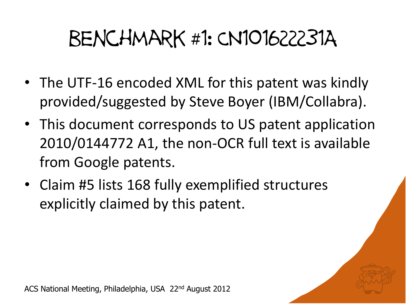## benchmark #1: CN101622231A

- The UTF-16 encoded XML for this patent was kindly provided/suggested by Steve Boyer (IBM/Collabra).
- This document corresponds to US patent application 2010/0144772 A1, the non-OCR full text is available from Google patents.
- Claim #5 lists 168 fully exemplified structures explicitly claimed by this patent.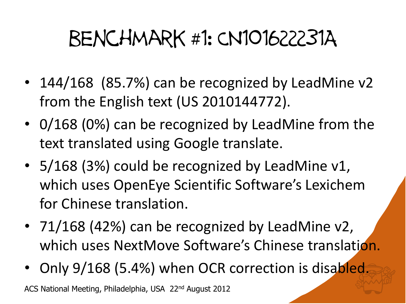## benchmark #1: CN101622231A

- 144/168 (85.7%) can be recognized by LeadMine v2 from the English text (US 2010144772).
- 0/168 (0%) can be recognized by LeadMine from the text translated using Google translate.
- 5/168 (3%) could be recognized by LeadMine v1, which uses OpenEye Scientific Software's Lexichem for Chinese translation.
- 71/168 (42%) can be recognized by LeadMine v2, which uses NextMove Software's Chinese translation.
- Only 9/168 (5.4%) when OCR correction is disabled.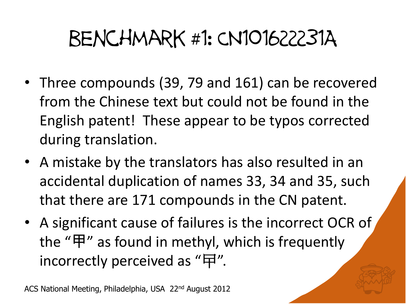### benchmark #1: CN101622231A

- Three compounds (39, 79 and 161) can be recovered from the Chinese text but could not be found in the English patent! These appear to be typos corrected during translation.
- A mistake by the translators has also resulted in an accidental duplication of names 33, 34 and 35, such that there are 171 compounds in the CN patent.
- A significant cause of failures is the incorrect OCR of the "甲" as found in methyl, which is frequently incorrectly perceived as "曱".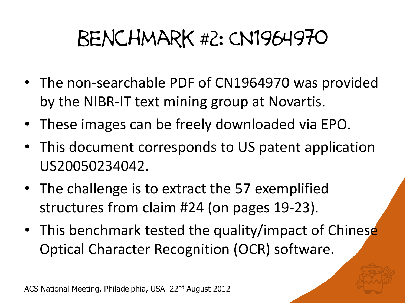### benchmark #2: CN1964970

- The non-searchable PDF of CN1964970 was provided by the NIBR-IT text mining group at Novartis.
- These images can be freely downloaded via EPO.
- This document corresponds to US patent application US20050234042.
- The challenge is to extract the 57 exemplified structures from claim #24 (on pages 19-23).
- This benchmark tested the quality/impact of Chinese Optical Character Recognition (OCR) software.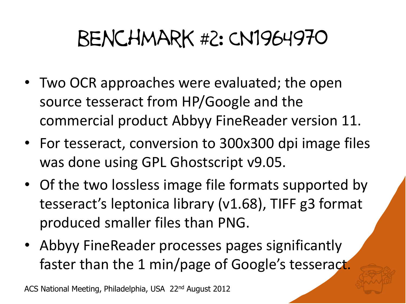### benchmark #2: CN1964970

- Two OCR approaches were evaluated; the open source tesseract from HP/Google and the commercial product Abbyy FineReader version 11.
- For tesseract, conversion to 300x300 dpi image files was done using GPL Ghostscript v9.05.
- Of the two lossless image file formats supported by tesseract's leptonica library (v1.68), TIFF g3 format produced smaller files than PNG.
- Abbyy FineReader processes pages significantly faster than the 1 min/page of Google's tesseract.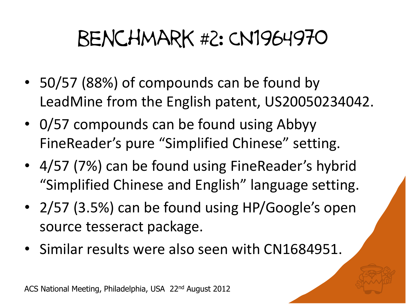### benchmark #2: CN1964970

- 50/57 (88%) of compounds can be found by LeadMine from the English patent, US20050234042.
- 0/57 compounds can be found using Abbyy FineReader's pure "Simplified Chinese" setting.
- 4/57 (7%) can be found using FineReader's hybrid "Simplified Chinese and English" language setting.
- 2/57 (3.5%) can be found using HP/Google's open source tesseract package.
- Similar results were also seen with CN1684951.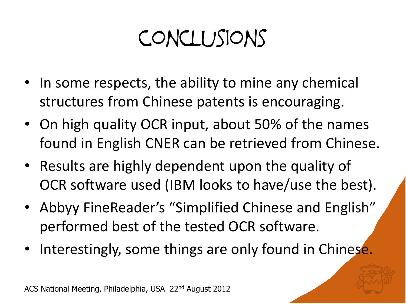## conclusions

- In some respects, the ability to mine any chemical structures from Chinese patents is encouraging.
- On high quality OCR input, about 50% of the names found in English CNER can be retrieved from Chinese.
- Results are highly dependent upon the quality of OCR software used (IBM looks to have/use the best).
- Abbyy FineReader's "Simplified Chinese and English" performed best of the tested OCR software.
- Interestingly, some things are only found in Chinese.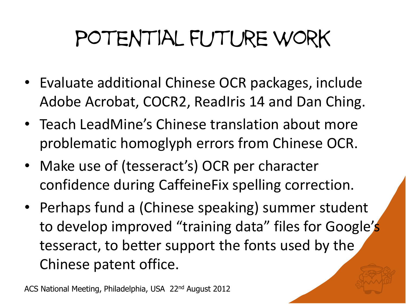# potential future work

- Evaluate additional Chinese OCR packages, include Adobe Acrobat, COCR2, ReadIris 14 and Dan Ching.
- Teach LeadMine's Chinese translation about more problematic homoglyph errors from Chinese OCR.
- Make use of (tesseract's) OCR per character confidence during CaffeineFix spelling correction.
- Perhaps fund a (Chinese speaking) summer student to develop improved "training data" files for Google's tesseract, to better support the fonts used by the Chinese patent office.